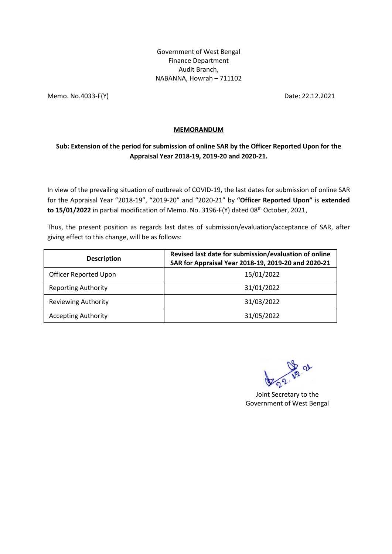Government of West Bengal Finance Department Audit Branch, NABANNA, Howrah – 711102

Memo. No.4033-F(Y) Date: 22.12.2021

## **MEMORANDUM**

## **Sub: Extension of the period for submission of online SAR by the Officer Reported Upon for the Appraisal Year 2018-19, 2019-20 and 2020-21.**

In view of the prevailing situation of outbreak of COVID-19, the last dates for submission of online SAR for the Appraisal Year "2018-19", "2019-20" and "2020-21" by **"Officer Reported Upon"** is **extended**  to 15/01/2022 in partial modification of Memo. No. 3196-F(Y) dated 08<sup>th</sup> October, 2021,

Thus, the present position as regards last dates of submission/evaluation/acceptance of SAR, after giving effect to this change, will be as follows:

| <b>Description</b>           | Revised last date for submission/evaluation of online<br>SAR for Appraisal Year 2018-19, 2019-20 and 2020-21 |
|------------------------------|--------------------------------------------------------------------------------------------------------------|
| <b>Officer Reported Upon</b> | 15/01/2022                                                                                                   |
| <b>Reporting Authority</b>   | 31/01/2022                                                                                                   |
| <b>Reviewing Authority</b>   | 31/03/2022                                                                                                   |
| <b>Accepting Authority</b>   | 31/05/2022                                                                                                   |

**Ve 21** 

Joint Secretary to the Government of West Bengal